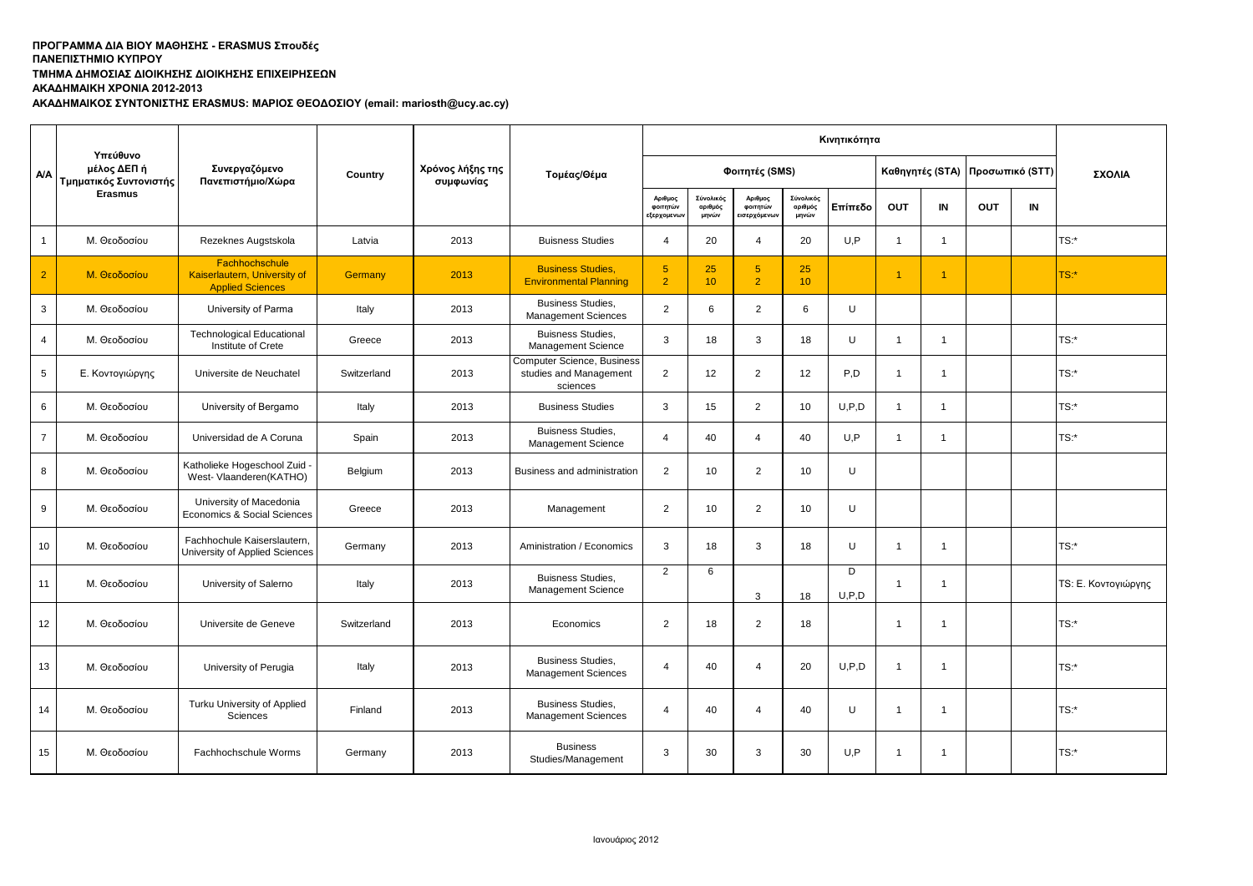**ΤΜΗΜΑ ΔΗΜΟΣΙΑΣ ΔΙΟΙΚΗΣΗΣ ΔΙΟΙΚΗΣΗΣ ΕΠΙΧΕΙΡΗΣΕΩΝ**

**ΑΚΑΔΗΜΑΙΚΗ ΧΡΟΝΙΑ 2012-2013**

**ΑΚΑΔΗΜΑΙΚΟΣ ΣΥΝΤΟΝΙΣΤΗΣ ERASMUS: ΜΑΡΙΟΣ ΘΕΟΔΟΣΙΟΥ (email: mariosth@ucy.ac.cy)**

|                |                                                   |                                                                           |             |                               |                                                                  | Κινητικότητα                      |                               |                                     |                               |            |                      |                      |                 |    |                     |
|----------------|---------------------------------------------------|---------------------------------------------------------------------------|-------------|-------------------------------|------------------------------------------------------------------|-----------------------------------|-------------------------------|-------------------------------------|-------------------------------|------------|----------------------|----------------------|-----------------|----|---------------------|
| A/A            | Υπεύθυνο<br>μέλος ΔΕΠ ή<br>Τμηματικός Συντονιστής | Συνεργαζόμενο<br>Πανεπιστήμιο/Χώρα                                        | Country     | Χρόνος λήξης της<br>συμφωνίας | Τομέας/Θέμα                                                      |                                   |                               | Φοιτητές (SMS)                      |                               |            | Καθηγητές (STA)      |                      | Προσωπικό (STT) |    | ΣΧΟΛΙΑ              |
|                | <b>Erasmus</b>                                    |                                                                           |             |                               |                                                                  | Αριθμος<br>φοιτητών<br>εξερχομενω | Σύνολικός<br>αριθμός<br>μηνών | Αριθμος<br>φοιτητών<br>εισερχόμενων | Σύνολικός<br>αριθμός<br>μηνών | Επίπεδο    | OUT                  | IN                   | <b>OUT</b>      | IN |                     |
| $\mathbf{1}$   | Μ. Θεοδοσίου                                      | Rezeknes Augstskola                                                       | Latvia      | 2013                          | <b>Buisness Studies</b>                                          | $\overline{\mathbf{A}}$           | 20                            | $\overline{4}$                      | 20                            | U.P        | $\mathbf{1}$         | $\blacktriangleleft$ |                 |    | TS:*                |
| $\overline{2}$ | Μ. Θεοδοσίου                                      | Fachhochschule<br>Kaiserlautern, University of<br><b>Applied Sciences</b> | Germany     | 2013                          | <b>Business Studies.</b><br><b>Environmental Planning</b>        | 5 <sup>5</sup><br>$\overline{2}$  | 25<br>10                      | 5 <sup>5</sup><br>$\overline{2}$    | 25<br>10 <sup>°</sup>         |            | $\blacktriangleleft$ |                      |                 |    | rs:*                |
| 3              | Μ. Θεοδοσίου                                      | University of Parma                                                       | Italy       | 2013                          | <b>Business Studies.</b><br><b>Management Sciences</b>           | 2                                 | 6                             | $\overline{2}$                      | 6                             | U          |                      |                      |                 |    |                     |
| $\overline{4}$ | Μ. Θεοδοσίου                                      | <b>Technological Educational</b><br>Institute of Crete                    | Greece      | 2013                          | <b>Buisness Studies.</b><br>Management Science                   | 3                                 | 18                            | 3                                   | 18                            | U          | $\overline{1}$       | $\overline{1}$       |                 |    | TS:*                |
| 5              | Ε. Κοντογιώργης                                   | Universite de Neuchatel                                                   | Switzerland | 2013                          | Computer Science, Business<br>studies and Management<br>sciences | 2                                 | 12                            | $\overline{2}$                      | 12                            | P,D        | $\mathbf{1}$         | 1                    |                 |    | $TS:$ *             |
| 6              | Μ. Θεοδοσίου                                      | University of Bergamo                                                     | Italy       | 2013                          | <b>Business Studies</b>                                          | 3                                 | 15                            | $\overline{2}$                      | 10                            | U, P, D    | $\mathbf{1}$         | 1                    |                 |    | TS:                 |
| $\overline{7}$ | Μ. Θεοδοσίου                                      | Universidad de A Coruna                                                   | Spain       | 2013                          | <b>Buisness Studies,</b><br>Management Science                   | 4                                 | 40                            | 4                                   | 40                            | U.P        | $\mathbf{1}$         | $\overline{1}$       |                 |    | $TS:$ *             |
| 8              | Μ. Θεοδοσίου                                      | Katholieke Hogeschool Zuid -<br>West- Vlaanderen (KATHO)                  | Belgium     | 2013                          | Business and administration                                      | 2                                 | 10                            | $\overline{2}$                      | 10                            | U          |                      |                      |                 |    |                     |
| 9              | Μ. Θεοδοσίου                                      | University of Macedonia<br>Economics & Social Sciences                    | Greece      | 2013                          | Management                                                       | 2                                 | 10                            | $\overline{2}$                      | 10                            | U          |                      |                      |                 |    |                     |
| 10             | Μ. Θεοδοσίου                                      | Fachhochule Kaiserslautern,<br>University of Applied Sciences             | Germany     | 2013                          | Aministration / Economics                                        | 3                                 | 18                            | 3                                   | 18                            | U          | $\mathbf{1}$         | $\overline{1}$       |                 |    | TS:*                |
| 11             | Μ. Θεοδοσίου                                      | University of Salerno                                                     | Italy       | 2013                          | <b>Buisness Studies,</b><br><b>Management Science</b>            | $\overline{2}$                    | 6                             | 3                                   | 18                            | D<br>U.P.D | $\overline{1}$       | -1                   |                 |    | TS: Ε. Κοντογιώργης |
| 12             | Μ. Θεοδοσίου                                      | Universite de Geneve                                                      | Switzerland | 2013                          | Economics                                                        | 2                                 | 18                            | 2                                   | 18                            |            | $\mathbf{1}$         | 1                    |                 |    | TS:*                |
| 13             | Μ. Θεοδοσίου                                      | University of Perugia                                                     | Italy       | 2013                          | <b>Business Studies.</b><br><b>Management Sciences</b>           | $\overline{4}$                    | 40                            | $\overline{4}$                      | 20                            | U.P.D      | $\mathbf{1}$         | $\overline{1}$       |                 |    | TS:*                |
| 14             | Μ. Θεοδοσίου                                      | Turku University of Applied<br><b>Sciences</b>                            | Finland     | 2013                          | <b>Business Studies,</b><br><b>Management Sciences</b>           | $\overline{\mathbf{A}}$           | 40                            | $\overline{4}$                      | 40                            | U          | $\mathbf{1}$         | -1                   |                 |    | TS:                 |
| 15             | Μ. Θεοδοσίου                                      | Fachhochschule Worms                                                      | Germany     | 2013                          | <b>Business</b><br>Studies/Management                            | 3                                 | 30                            | 3                                   | 30                            | U.P        | $\overline{1}$       | 1                    |                 |    | TS:*                |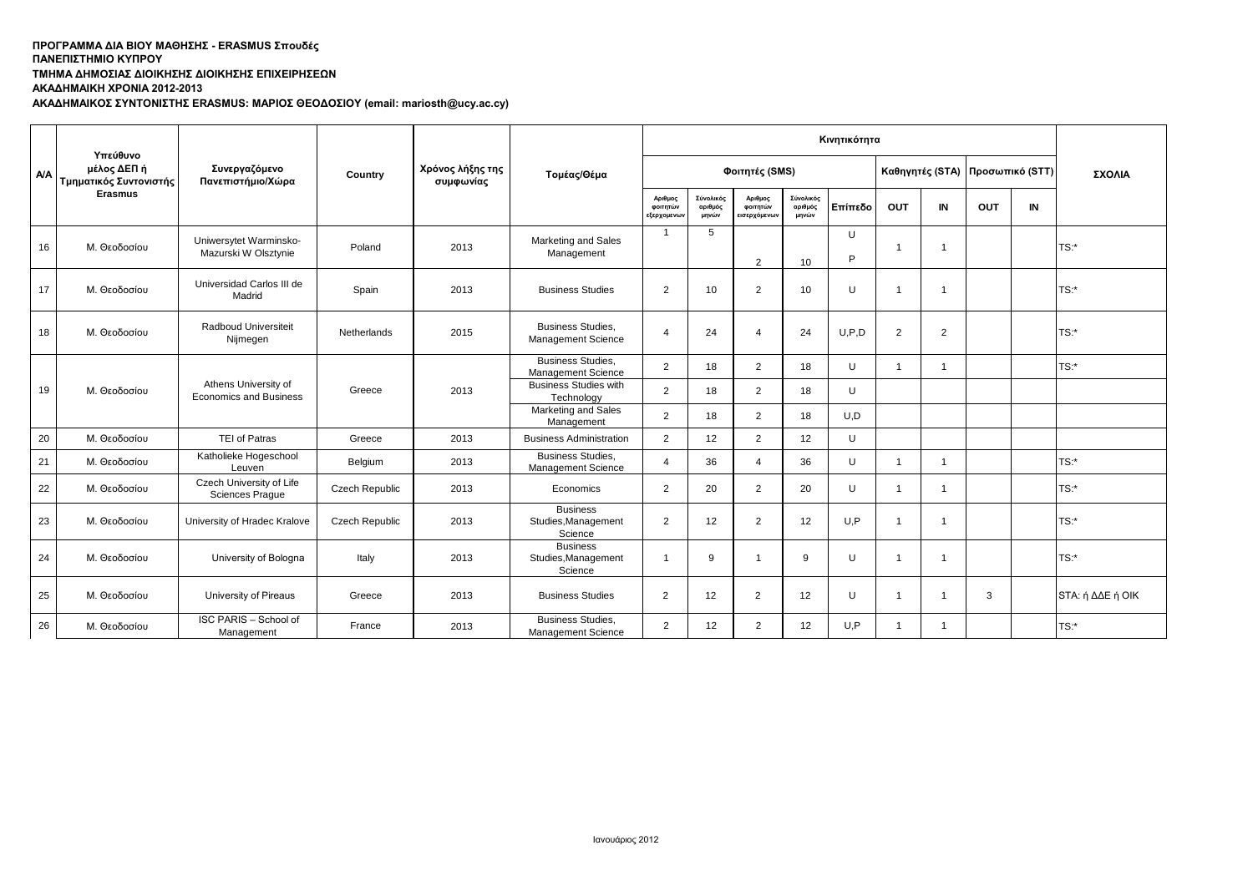# **ΤΜΗΜΑ ΔΗΜΟΣΙΑΣ ΔΙΟΙΚΗΣΗΣ ΔΙΟΙΚΗΣΗΣ ΕΠΙΧΕΙΡΗΣΕΩΝ**

**ΑΚΑΔΗΜΑΙΚΗ ΧΡΟΝΙΑ 2012-2013**

**ΑΚΑΔΗΜΑΙΚΟΣ ΣΥΝΤΟΝΙΣΤΗΣ ERASMUS: ΜΑΡΙΟΣ ΘΕΟΔΟΣΙΟΥ (email: mariosth@ucy.ac.cy)**

|     | Υπεύθυνο                              |                                                       |                       |                               |                                                       |                                    |                               |                                     |                               | Κινητικότητα |                |                                 |     |        |                  |  |
|-----|---------------------------------------|-------------------------------------------------------|-----------------------|-------------------------------|-------------------------------------------------------|------------------------------------|-------------------------------|-------------------------------------|-------------------------------|--------------|----------------|---------------------------------|-----|--------|------------------|--|
| A/A | μέλος ΔΕΠ ή<br>Τμηματικός Συντονιστής | Συνεργαζόμενο<br>Πανεπιστήμιο/Χώρα                    | Country               | Χρόνος λήξης της<br>συμφωνίας | Τομέας/Θέμα                                           |                                    |                               | Φοιτητές (SMS)                      |                               |              |                | Καθηγητές (STA) Προσωπικό (STT) |     | ΣΧΟΛΙΑ |                  |  |
|     | <b>Erasmus</b>                        |                                                       |                       |                               |                                                       | Αριθμος<br>φοιτητών<br>εξερχομενων | Σύνολικός<br>αριθμός<br>μηνών | Αριθμος<br>φοιτητών<br>εισερχόμενων | Σύνολικός<br>αριθμός<br>μηνών | Επίπεδο      | OUT            | IN                              | OUT | IN     |                  |  |
| 16  | Μ. Θεοδοσίου                          | Uniwersytet Warminsko-<br>Mazurski W Olsztynie        | Poland                | 2013                          | Marketing and Sales<br>Management                     | $\overline{\mathbf{1}}$            | 5                             | $\mathcal{D}$                       | 10                            | U<br>P       | $\overline{1}$ |                                 |     |        | TS:              |  |
| 17  | Μ. Θεοδοσίου                          | Universidad Carlos III de<br>Madrid                   | Spain                 | 2013                          | <b>Business Studies</b>                               | 2                                  | 10                            | 2                                   | 10                            | U            | -1             |                                 |     |        | TS:              |  |
| 18  | Μ. Θεοδοσίου                          | Radboud Universiteit<br>Nijmegen                      | Netherlands           | 2015                          | <b>Business Studies.</b><br>Management Science        | $\epsilon$                         | 24                            | $\mathbf 4$                         | 24                            | U.P.D        | $\overline{2}$ | 2                               |     |        | TS:              |  |
|     |                                       |                                                       |                       |                               | <b>Business Studies.</b><br><b>Management Science</b> | 2                                  | 18                            | $\overline{2}$                      | 18                            | U            | $\mathbf{1}$   |                                 |     |        | TS:              |  |
| 19  | Μ. Θεοδοσίου                          | Athens University of<br><b>Economics and Business</b> | Greece                | 2013                          | <b>Business Studies with</b><br>Technology            | 2                                  | 18                            | $\overline{2}$                      | 18                            | U            |                |                                 |     |        |                  |  |
|     |                                       |                                                       |                       |                               | Marketing and Sales<br>Management                     | $\overline{2}$                     | 18                            | 2                                   | 18                            | U.D          |                |                                 |     |        |                  |  |
| 20  | Μ. Θεοδοσίου                          | <b>TEI of Patras</b>                                  | Greece                | 2013                          | <b>Business Administration</b>                        | 2                                  | 12                            | 2                                   | 12                            | U            |                |                                 |     |        |                  |  |
| 21  | Μ. Θεοδοσίου                          | Katholieke Hogeschool<br>Leuven                       | Belgium               | 2013                          | <b>Business Studies,</b><br><b>Management Science</b> | Δ                                  | 36                            | $\Delta$                            | 36                            | U            | $\overline{1}$ |                                 |     |        | TS:              |  |
| 22  | Μ. Θεοδοσίου                          | Czech University of Life<br><b>Sciences Prague</b>    | Czech Republic        | 2013                          | Economics                                             | 2                                  | 20                            | 2                                   | 20                            | U            | $\overline{1}$ |                                 |     |        | $TS:$ *          |  |
| 23  | Μ. Θεοδοσίου                          | University of Hradec Kralove                          | <b>Czech Republic</b> | 2013                          | <b>Business</b><br>Studies, Management<br>Science     | 2                                  | 12                            | 2                                   | 12                            | U.P          | $\mathbf{1}$   |                                 |     |        | TS:              |  |
| 24  | Μ. Θεοδοσίου                          | University of Bologna                                 | Italy                 | 2013                          | <b>Business</b><br>Studies, Management<br>Science     | -1                                 | 9                             |                                     | 9                             | U            | -1             |                                 |     |        | TS:*             |  |
| 25  | Μ. Θεοδοσίου                          | University of Pireaus                                 | Greece                | 2013                          | <b>Business Studies</b>                               | $\overline{2}$                     | 12                            | $\overline{2}$                      | 12                            | U            | -1             |                                 | 3   |        | STA: ή ΔΔΕ ή ΟΙΚ |  |
| 26  | Μ. Θεοδοσίου                          | ISC PARIS - School of<br>Management                   | France                | 2013                          | <b>Business Studies,</b><br><b>Management Science</b> | 2                                  | 12                            | 2                                   | 12                            | U.P          | $\mathbf{1}$   |                                 |     |        | $TS:$ *          |  |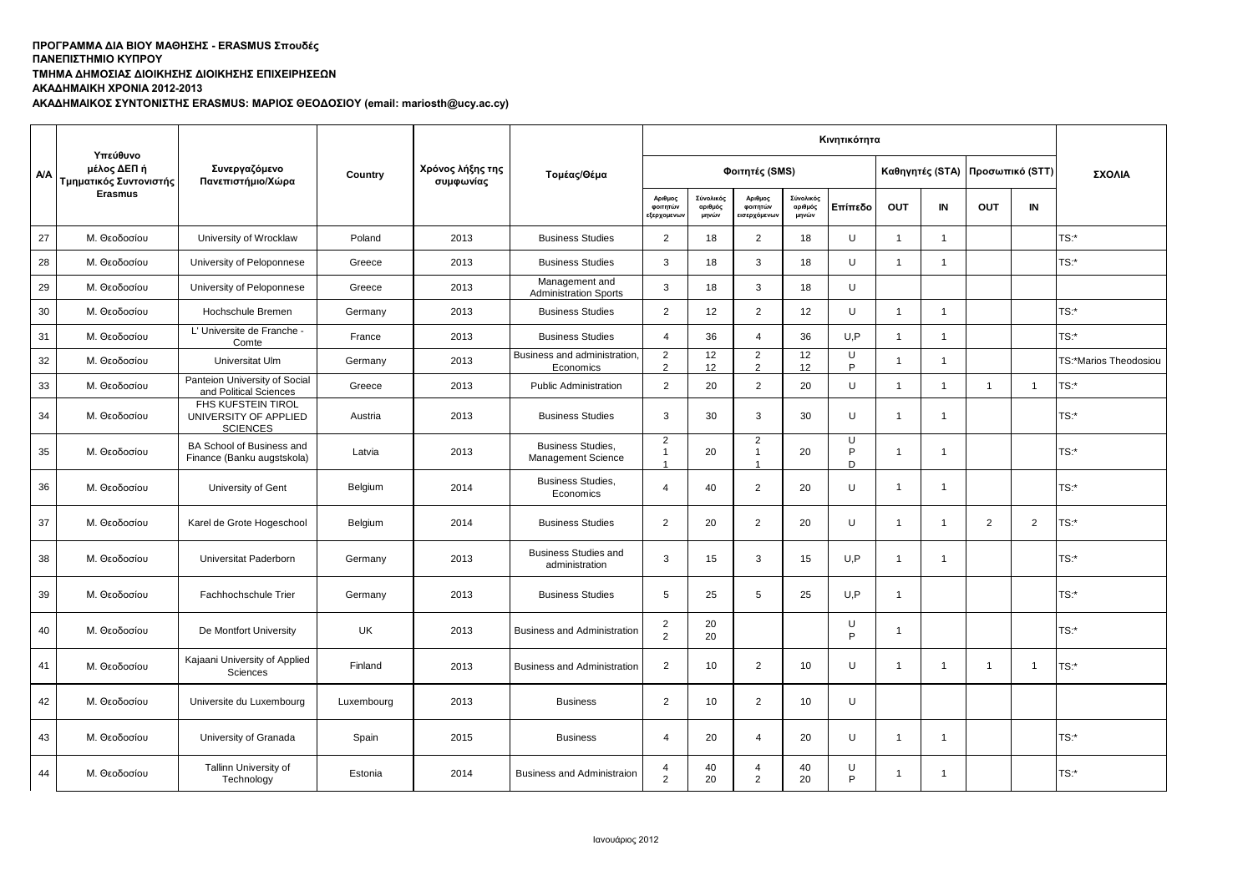# **ΤΜΗΜΑ ΔΗΜΟΣΙΑΣ ΔΙΟΙΚΗΣΗΣ ΔΙΟΙΚΗΣΗΣ ΕΠΙΧΕΙΡΗΣΕΩΝ**

**ΑΚΑΔΗΜΑΙΚΗ ΧΡΟΝΙΑ 2012-2013**

**ΑΚΑΔΗΜΑΙΚΟΣ ΣΥΝΤΟΝΙΣΤΗΣ ERASMUS: ΜΑΡΙΟΣ ΘΕΟΔΟΣΙΟΥ (email: mariosth@ucy.ac.cy)**

|            |                                                   |                                                                |            |                               |                                                       |                                   | ΣΧΟΛΙΑ<br>TS:*<br>$TS:$ *<br>$TS:$ *<br>TS:*<br>TS:*Marios Theodosiou<br>TS:*<br>TS:*<br>TS:*<br>TS:*<br>$TS:$ * |                                    |                               |              |                      |                |                |                 |         |
|------------|---------------------------------------------------|----------------------------------------------------------------|------------|-------------------------------|-------------------------------------------------------|-----------------------------------|------------------------------------------------------------------------------------------------------------------|------------------------------------|-------------------------------|--------------|----------------------|----------------|----------------|-----------------|---------|
| <b>A/A</b> | Υπεύθυνο<br>μέλος ΔΕΠ ή<br>Τμηματικός Συντονιστής | Συνεργαζόμενο<br>Πανεπιστήμιο/Χώρα                             | Country    | Χρόνος λήξης της<br>συμφωνίας | Τομέας/Θέμα                                           |                                   |                                                                                                                  | Φοιτητές (SMS)                     |                               |              | Καθηγητές (STA)      |                |                | Προσωπικό (STT) |         |
|            | <b>Erasmus</b>                                    |                                                                |            |                               |                                                       | Αριθμος<br>φοιτητών<br>εξερχομενω | Σύνολικός<br>αριθμός<br>μηνών                                                                                    | Αριθμος<br>φοιτητών<br>εισερχόμενω | Σύνολικός<br>αριθμός<br>μηνών | Επίπεδο      | <b>OUT</b>           | IN             | <b>OUT</b>     | IN              |         |
| 27         | Μ. Θεοδοσίου                                      | University of Wrocklaw                                         | Poland     | 2013                          | <b>Business Studies</b>                               | $\overline{2}$                    | 18                                                                                                               | 2                                  | 18                            | U            | $\mathbf{1}$         | $\mathbf{1}$   |                |                 |         |
| 28         | Μ. Θεοδοσίου                                      | University of Peloponnese                                      | Greece     | 2013                          | <b>Business Studies</b>                               | 3                                 | 18                                                                                                               | $\mathbf{3}$                       | 18                            | U            | $\mathbf{1}$         | $\mathbf{1}$   |                |                 |         |
| 29         | Μ. Θεοδοσίου                                      | University of Peloponnese                                      | Greece     | 2013                          | Management and<br><b>Administration Sports</b>        | 3                                 | 18                                                                                                               | 3                                  | 18                            | U            |                      |                |                |                 |         |
| 30         | Μ. Θεοδοσίου                                      | Hochschule Bremen                                              | Germany    | 2013                          | <b>Business Studies</b>                               | $\overline{2}$                    | 12                                                                                                               | $\overline{2}$                     | 12                            | U            | -1                   | $\overline{1}$ |                |                 |         |
| 31         | Μ. Θεοδοσίου                                      | L' Universite de Franche -<br>Comte                            | France     | 2013                          | <b>Business Studies</b>                               | $\overline{4}$                    | 36                                                                                                               | $\overline{4}$                     | 36                            | U.P          | $\overline{1}$       | $\overline{1}$ |                |                 |         |
| 32         | Μ. Θεοδοσίου                                      | Universitat Ulm                                                | Germany    | 2013                          | Business and administration,<br>Economics             | 2<br>2                            | 12<br>12                                                                                                         | $\overline{2}$<br>2                | 12<br>12                      | U<br>P       | $\mathbf 1$          | $\mathbf{1}$   |                |                 |         |
| 33         | Μ. Θεοδοσίου                                      | Panteion University of Social<br>and Political Sciences        | Greece     | 2013                          | <b>Public Administration</b>                          | 2                                 | 20                                                                                                               | 2                                  | 20                            | U            | $\mathbf{1}$         | $\mathbf{1}$   | $\overline{1}$ | $\mathbf{1}$    |         |
| 34         | Μ. Θεοδοσίου                                      | FHS KUFSTEIN TIROL<br>UNIVERSITY OF APPLIED<br><b>SCIENCES</b> | Austria    | 2013                          | <b>Business Studies</b>                               | 3                                 | 30                                                                                                               | 3                                  | 30                            | U            | $\mathbf{1}$         | $\mathbf{1}$   |                |                 |         |
| 35         | Μ. Θεοδοσίου                                      | BA School of Business and<br>Finance (Banku augstskola)        | Latvia     | 2013                          | <b>Business Studies,</b><br><b>Management Science</b> | $\overline{2}$<br>$\mathbf{1}$    | 20                                                                                                               | $\overline{2}$<br>$\mathbf{1}$     | 20                            | U<br>P<br>D. | $\mathbf{1}$         | $\mathbf{1}$   |                |                 |         |
| 36         | Μ. Θεοδοσίου                                      | University of Gent                                             | Belgium    | 2014                          | <b>Business Studies,</b><br>Economics                 | $\overline{4}$                    | 40                                                                                                               | $\overline{2}$                     | 20                            | U            | $\blacktriangleleft$ | $\mathbf{1}$   |                |                 |         |
| 37         | Μ. Θεοδοσίου                                      | Karel de Grote Hogeschool                                      | Belgium    | 2014                          | <b>Business Studies</b>                               | 2                                 | 20                                                                                                               | $\overline{2}$                     | 20                            | U            | $\blacktriangleleft$ | $\mathbf{1}$   | $\overline{2}$ | $\overline{2}$  |         |
| 38         | Μ. Θεοδοσίου                                      | Universitat Paderborn                                          | Germany    | 2013                          | <b>Business Studies and</b><br>administration         | 3                                 | 15                                                                                                               | 3                                  | 15                            | U,P          | $\mathbf{1}$         | $\mathbf{1}$   |                |                 | TS:*    |
| 39         | Μ. Θεοδοσίου                                      | Fachhochschule Trier                                           | Germany    | 2013                          | <b>Business Studies</b>                               | 5                                 | 25                                                                                                               | 5                                  | 25                            | U,P          | $\mathbf{1}$         |                |                |                 | TS:*    |
| 40         | Μ. Θεοδοσίου                                      | De Montfort University                                         | <b>UK</b>  | 2013                          | <b>Business and Administration</b>                    | 2<br>2                            | 20<br>20                                                                                                         |                                    |                               | U<br>P       | $\overline{1}$       |                |                |                 | $TS:$ * |
| 41         | Μ. Θεοδοσίου                                      | Kajaani University of Applied<br>Sciences                      | Finland    | 2013                          | <b>Business and Administration</b>                    | 2                                 | 10                                                                                                               | $\overline{2}$                     | 10                            | U            | $\overline{1}$       | $\mathbf{1}$   | $\mathbf{1}$   | $\overline{1}$  | $TS:$ * |
| 42         | Μ. Θεοδοσίου                                      | Universite du Luxembourg                                       | Luxembourg | 2013                          | <b>Business</b>                                       | 2                                 | 10                                                                                                               | $\overline{2}$                     | 10                            | U            |                      |                |                |                 |         |
| 43         | Μ. Θεοδοσίου                                      | University of Granada                                          | Spain      | 2015                          | <b>Business</b>                                       | 4                                 | 20                                                                                                               | 4                                  | 20                            | U            | $\blacktriangleleft$ | $\mathbf{1}$   |                |                 | TS:*    |
| 44         | Μ. Θεοδοσίου                                      | Tallinn University of<br>Technology                            | Estonia    | 2014                          | <b>Business and Administraion</b>                     | 4<br>2                            | 40<br>20                                                                                                         | 4<br>2                             | 40<br>20                      | U<br>P       |                      | $\mathbf{1}$   |                |                 | TS:*    |